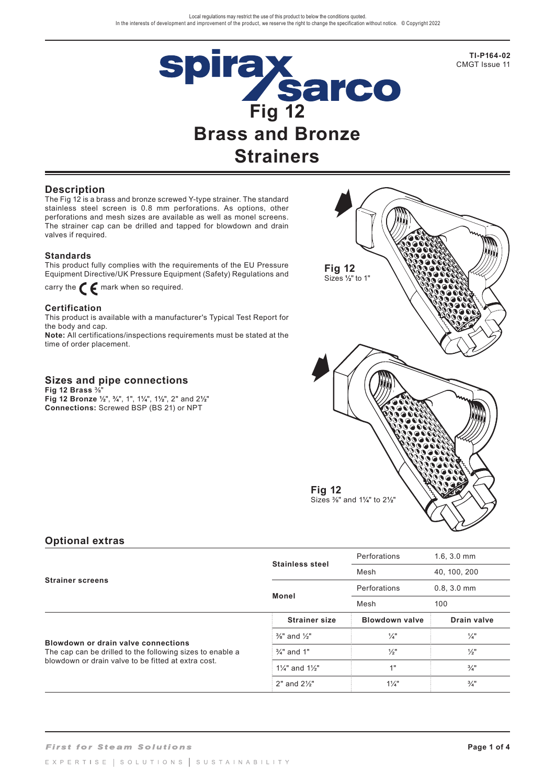

**TI-P164-02** CMGT Issue 11

## **Description**

The Fig 12 is a brass and bronze screwed Y-type strainer. The standard stainless steel screen is 0.8 mm perforations. As options, other perforations and mesh sizes are available as well as monel screens. The strainer cap can be drilled and tapped for blowdown and drain valves if required.

### **Standards**

This product fully complies with the requirements of the EU Pressure Equipment Directive/UK Pressure Equipment (Safety) Regulations and

carry the  $\epsilon$  mark when so required.

### **Certification**

This product is available with a manufacturer's Typical Test Report for the body and cap.

**Note:** All certifications/inspections requirements must be stated at the time of order placement.

## **Sizes and pipe connections**

**Fig 12 Brass** 3/8" **Fig 12 Bronze ½**", **¾**", 1", 1**¼**", 1**½**", 2" and 2**½**" **Connections:** Screwed BSP (BS 21) or NPT



## **Optional extras**

|                                                                                                                                                         |                                     | Perforations          | $1.6, 3.0$ mm   |  |
|---------------------------------------------------------------------------------------------------------------------------------------------------------|-------------------------------------|-----------------------|-----------------|--|
| <b>Strainer screens</b>                                                                                                                                 | <b>Stainless steel</b>              | Mesh                  | 40, 100, 200    |  |
|                                                                                                                                                         | <b>Monel</b>                        | Perforations          | $0.8, 3.0$ mm   |  |
|                                                                                                                                                         |                                     | Mesh                  | 100             |  |
| Blowdown or drain valve connections<br>The cap can be drilled to the following sizes to enable a<br>blowdown or drain valve to be fitted at extra cost. | <b>Strainer size</b>                | <b>Blowdown valve</b> | Drain valve     |  |
|                                                                                                                                                         | $\frac{3}{8}$ " and $\frac{1}{2}$ " | $\frac{1}{4}$         | $\frac{1}{4}$   |  |
|                                                                                                                                                         | $\frac{3}{4}$ " and 1"              | $\frac{1}{2}$ "       | $\frac{1}{2}$ " |  |
|                                                                                                                                                         | $1\frac{1}{4}$ and $1\frac{1}{2}$   | 1"                    | $\frac{3}{4}$ " |  |
|                                                                                                                                                         | $2"$ and $2\frac{1}{2"$             | $1\frac{1}{4}$        | $\frac{3}{4}$ " |  |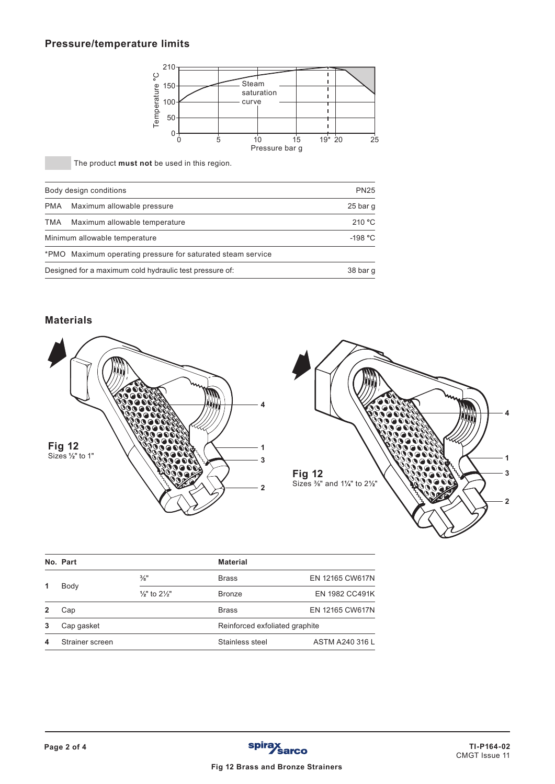# **Pressure/temperature limits**



The product **must not** be used in this region.

|     | Body design conditions                                      | <b>PN25</b> |  |  |  |
|-----|-------------------------------------------------------------|-------------|--|--|--|
| PMA | Maximum allowable pressure                                  | 25 bar q    |  |  |  |
| TMA | Maximum allowable temperature                               | 210 °C      |  |  |  |
|     | Minimum allowable temperature                               | -198 °C     |  |  |  |
|     | *PMO Maximum operating pressure for saturated steam service |             |  |  |  |
|     | Designed for a maximum cold hydraulic test pressure of:     |             |  |  |  |

## **Materials**





| No. Part        |                                     | <b>Material</b>                |                       |
|-----------------|-------------------------------------|--------------------------------|-----------------------|
| Body            | $\frac{3}{8}$ "                     | <b>Brass</b>                   | EN 12165 CW617N       |
|                 | $\frac{1}{2}$ " to $2\frac{1}{2}$ " | <b>Bronze</b>                  | <b>EN 1982 CC491K</b> |
| Cap             |                                     | <b>Brass</b>                   | EN 12165 CW617N       |
| Cap gasket      |                                     | Reinforced exfoliated graphite |                       |
| Strainer screen |                                     | Stainless steel                | ASTM A240 316 L       |
|                 |                                     |                                |                       |

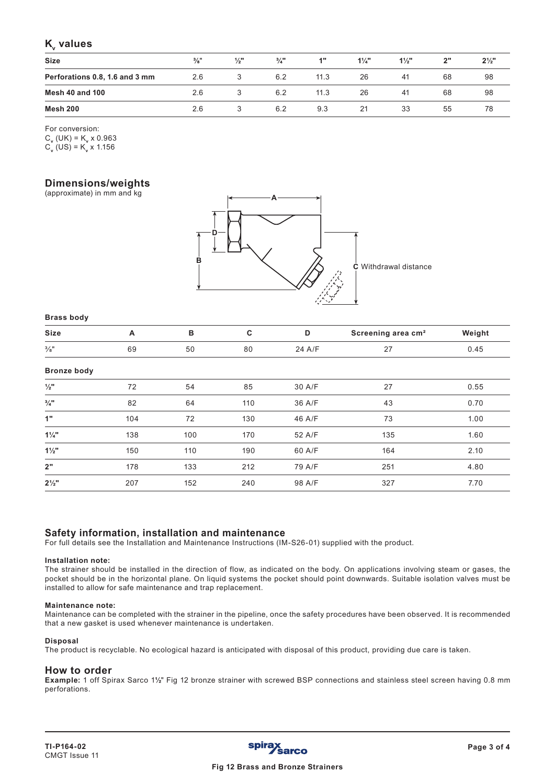# **K**<sub>v</sub> values

| <b>Size</b>                    | $\frac{3}{8}$ " | $\frac{1}{2}$ " | $\frac{3}{4}$ " | 4"   | $1\frac{1}{4}$ | $1\frac{1}{2}$ " | 2" | $2\frac{1}{2}$ " |
|--------------------------------|-----------------|-----------------|-----------------|------|----------------|------------------|----|------------------|
| Perforations 0.8, 1.6 and 3 mm | 2.6             |                 | 6.2             | 11.3 | 26             | 41               | 68 | 98               |
| <b>Mesh 40 and 100</b>         | 2.6             |                 | 6.2             | 11.3 | 26             | 41               | 68 | 98               |
| Mesh 200                       | 2.6             |                 | 6.2             | 9.3  | 21             | 33               | 55 | 78               |

For conversion:

 $C_v$  (UK) = K<sub>v</sub> x 0.963  $C_v^{\prime}$  (US) = K<sub>v</sub> x 1.156

## **Dimensions/weights**

(approximate) in mm and kg



#### **Brass body**

| <b>Size</b>     |    | D  |    |        | Screening area cm <sup>2</sup> | Weight |
|-----------------|----|----|----|--------|--------------------------------|--------|
| $\frac{3}{8}$ " | 69 | 50 | 80 | 24 A/F | <u>_</u>                       | 0.45   |

#### **Bronze body**

| <b>Bronze body</b> |     |     |     |        |     |      |
|--------------------|-----|-----|-----|--------|-----|------|
| $\frac{1}{2}$ "    | 72  | 54  | 85  | 30 A/F | 27  | 0.55 |
| $\frac{3}{4}$ "    | 82  | 64  | 110 | 36 A/F | 43  | 0.70 |
| 1"                 | 104 | 72  | 130 | 46 A/F | 73  | 1.00 |
| $1\frac{1}{4}$     | 138 | 100 | 170 | 52 A/F | 135 | 1.60 |
| $1\frac{1}{2}$     | 150 | 110 | 190 | 60 A/F | 164 | 2.10 |
| 2"                 | 178 | 133 | 212 | 79 A/F | 251 | 4.80 |
| $2\frac{1}{2}$ "   | 207 | 152 | 240 | 98 A/F | 327 | 7.70 |

## **Safety information, installation and maintenance**

For full details see the Installation and Maintenance Instructions (IM-S26-01) supplied with the product.

#### **Installation note:**

The strainer should be installed in the direction of flow, as indicated on the body. On applications involving steam or gases, the pocket should be in the horizontal plane. On liquid systems the pocket should point downwards. Suitable isolation valves must be installed to allow for safe maintenance and trap replacement.

#### **Maintenance note:**

Maintenance can be completed with the strainer in the pipeline, once the safety procedures have been observed. It is recommended that a new gasket is used whenever maintenance is undertaken.

#### **Disposal**

The product is recyclable. No ecological hazard is anticipated with disposal of this product, providing due care is taken.

### **How to order**

**Example:** 1 off Spirax Sarco 1**½**" Fig 12 bronze strainer with screwed BSP connections and stainless steel screen having 0.8 mm perforations.